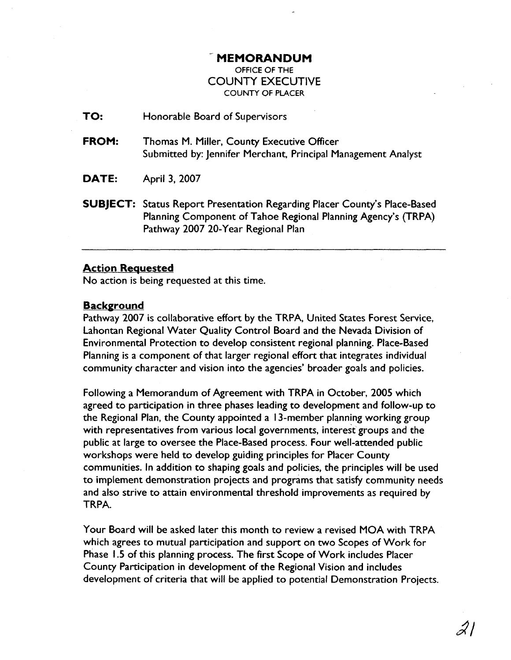## - **MEMORANDUM**

OFFICE OF THE COUNTY EXECUTIVE COUNTY OF PLACER

**TO:** Honorable Board of Supervisors

- **FROM:** Thomas M. Miller, County Executive Officer Submitted by: Jennifer Merchant, Principal Management Analyst
- **DATE:** April 3, 2007
- **SUBJECT:** Status Report Presentation Regarding Placer County's Place-Based Planning Component of Tahoe Regional Planning Agency's (TRPA) Pathway 2007 20-Year Regional Plan

## **Action Requested**

No action is being requested at this time.

## **Background**

Pathway 2007 is collaborative effort by the TRPA, United States Forest Service, Lahontan Regional Water Quality Control Board and the Nevada Division of Environmental Protection to develop consistent regional planning. Place-Based Planning is a component of that larger regional effort that integrates individual community character and vision into the agencies' broader goals and policies.

Following a Memorandum of Agreement with TRPA in October, 2005 which agreed to participation in three phases leading to development and follow-up to the Regional Plan, the County appointed a 13-member planning working group with representatives from various local governments, interest groups and the public at large to oversee the Place-Based process. Four well-attended public workshops were held to develop guiding principles for Placer County communities. In addition to shaping goals and policies, the principles will be used to implement demonstration projects and programs that satisfy community needs and also strive to attain environmental threshold improvements as required by TRPA.

Your Board will be asked later this month to review a revised MOA with TRPA which agrees to mutual participation and support on two Scopes of Work for Phase 1.5 of this planning process. The first Scope of Work includes Placer County Participation in development of the Regional Vision and includes development of criteria that will be applied to potential Demonstration Projects.